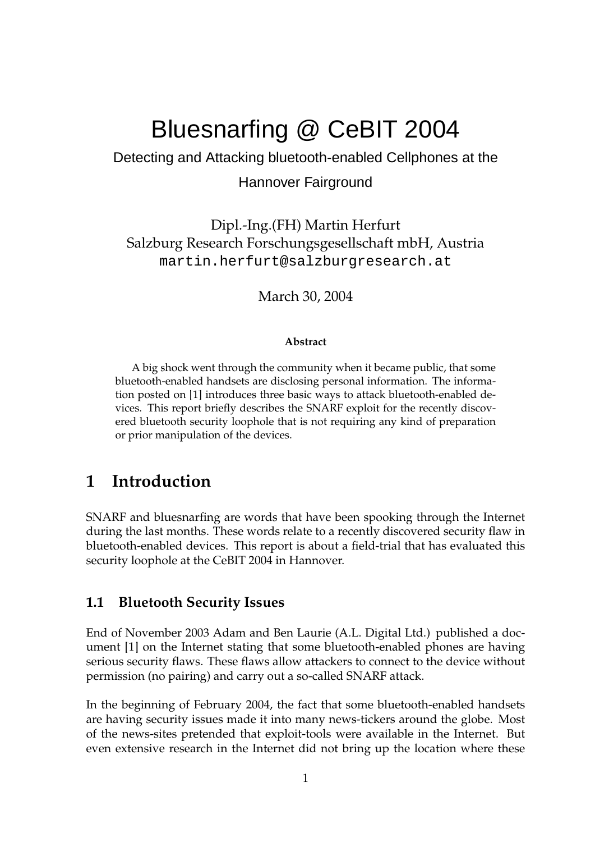# Bluesnarfing @ CeBIT 2004

Detecting and Attacking bluetooth-enabled Cellphones at the

### Hannover Fairground

Dipl.-Ing.(FH) Martin Herfurt Salzburg Research Forschungsgesellschaft mbH, Austria martin.herfurt@salzburgresearch.at

March 30, 2004

#### **Abstract**

A big shock went through the community when it became public, that some bluetooth-enabled handsets are disclosing personal information. The information posted on [\[1\]](#page-11-0) introduces three basic ways to attack bluetooth-enabled devices. This report briefly describes the SNARF exploit for the recently discovered bluetooth security loophole that is not requiring any kind of preparation or prior manipulation of the devices.

# **1 Introduction**

SNARF and bluesnarfing are words that have been spooking through the Internet during the last months. These words relate to a recently discovered security flaw in bluetooth-enabled devices. This report is about a field-trial that has evaluated this security loophole at the CeBIT 2004 in Hannover.

#### **1.1 Bluetooth Security Issues**

End of November 2003 Adam and Ben Laurie (A.L. Digital Ltd.) published a document [\[1\]](#page-11-0) on the Internet stating that some bluetooth-enabled phones are having serious security flaws. These flaws allow attackers to connect to the device without permission (no pairing) and carry out a so-called SNARF attack.

In the beginning of February 2004, the fact that some bluetooth-enabled handsets are having security issues made it into many news-tickers around the globe. Most of the news-sites pretended that exploit-tools were available in the Internet. But even extensive research in the Internet did not bring up the location where these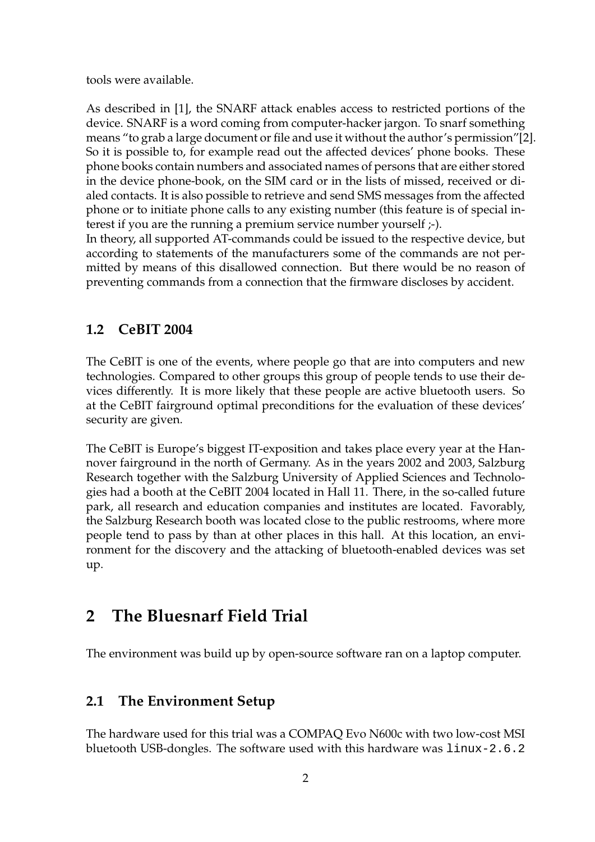tools were available.

As described in [\[1\]](#page-11-0), the SNARF attack enables access to restricted portions of the device. SNARF is a word coming from computer-hacker jargon. To snarf something means "to grab a large document or file and use it without the author's permission"[\[2\]](#page-11-1). So it is possible to, for example read out the affected devices' phone books. These phone books contain numbers and associated names of persons that are either stored in the device phone-book, on the SIM card or in the lists of missed, received or dialed contacts. It is also possible to retrieve and send SMS messages from the affected phone or to initiate phone calls to any existing number (this feature is of special interest if you are the running a premium service number yourself  $\div$ ).

In theory, all supported AT-commands could be issued to the respective device, but according to statements of the manufacturers some of the commands are not permitted by means of this disallowed connection. But there would be no reason of preventing commands from a connection that the firmware discloses by accident.

### **1.2 CeBIT 2004**

The CeBIT is one of the events, where people go that are into computers and new technologies. Compared to other groups this group of people tends to use their devices differently. It is more likely that these people are active bluetooth users. So at the CeBIT fairground optimal preconditions for the evaluation of these devices' security are given.

The CeBIT is Europe's biggest IT-exposition and takes place every year at the Hannover fairground in the north of Germany. As in the years 2002 and 2003, Salzburg Research together with the Salzburg University of Applied Sciences and Technologies had a booth at the CeBIT 2004 located in Hall 11. There, in the so-called future park, all research and education companies and institutes are located. Favorably, the Salzburg Research booth was located close to the public restrooms, where more people tend to pass by than at other places in this hall. At this location, an environment for the discovery and the attacking of bluetooth-enabled devices was set up.

# **2 The Bluesnarf Field Trial**

The environment was build up by open-source software ran on a laptop computer.

# **2.1 The Environment Setup**

The hardware used for this trial was a COMPAQ Evo N600c with two low-cost MSI bluetooth USB-dongles. The software used with this hardware was linux-2.6.2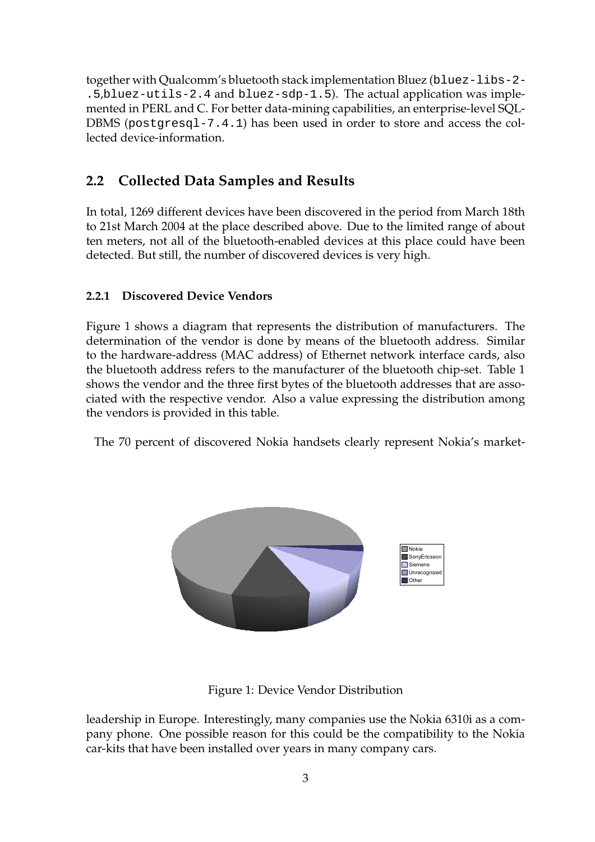together with Qualcomm's bluetooth stack implementation Bluez (bluez-libs-2- .5,bluez-utils-2.4 and bluez-sdp-1.5). The actual application was implemented in PERL and C. For better data-mining capabilities, an enterprise-level SQL-DBMS (postgresql-7.4.1) has been used in order to store and access the collected device-information.

# **2.2 Collected Data Samples and Results**

In total, 1269 different devices have been discovered in the period from March 18th to 21st March 2004 at the place described above. Due to the limited range of about ten meters, not all of the bluetooth-enabled devices at this place could have been detected. But still, the number of discovered devices is very high.

### **2.2.1 Discovered Device Vendors**

Figure [1](#page-2-0) shows a diagram that represents the distribution of manufacturers. The determination of the vendor is done by means of the bluetooth address. Similar to the hardware-address (MAC address) of Ethernet network interface cards, also the bluetooth address refers to the manufacturer of the bluetooth chip-set. Table [1](#page-3-0) shows the vendor and the three first bytes of the bluetooth addresses that are associated with the respective vendor. Also a value expressing the distribution among the vendors is provided in this table.

The 70 percent of discovered Nokia handsets clearly represent Nokia's market-



<span id="page-2-0"></span>Figure 1: Device Vendor Distribution

leadership in Europe. Interestingly, many companies use the Nokia 6310i as a company phone. One possible reason for this could be the compatibility to the Nokia car-kits that have been installed over years in many company cars.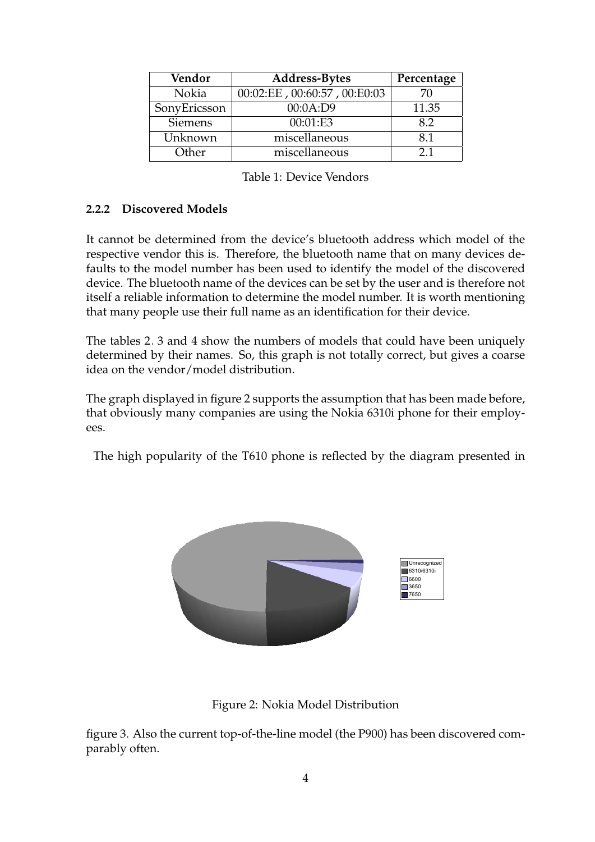| Vendor         | <b>Address-Bytes</b>         | Percentage |
|----------------|------------------------------|------------|
| Nokia          | 00:02:EE, 00:60:57, 00:E0:03 | 70         |
| SonyEricsson   | 00:0A:D9                     | 11.35      |
| <b>Siemens</b> | 00:01:E3                     | 8.2        |
| Unknown        | miscellaneous                | 81         |
| Other          | miscellaneous                | 21         |

<span id="page-3-0"></span>

| Table 1: Device Vendors |  |
|-------------------------|--|
|-------------------------|--|

#### **2.2.2 Discovered Models**

It cannot be determined from the device's bluetooth address which model of the respective vendor this is. Therefore, the bluetooth name that on many devices defaults to the model number has been used to identify the model of the discovered device. The bluetooth name of the devices can be set by the user and is therefore not itself a reliable information to determine the model number. It is worth mentioning that many people use their full name as an identification for their device.

The tables [2,](#page-4-0) [3](#page-4-1) and [4](#page-5-0) show the numbers of models that could have been uniquely determined by their names. So, this graph is not totally correct, but gives a coarse idea on the vendor/model distribution.

The graph displayed in figure [2](#page-3-1) supports the assumption that has been made before, that obviously many companies are using the Nokia 6310i phone for their employees.

The high popularity of the T610 phone is reflected by the diagram presented in



<span id="page-3-1"></span>Figure 2: Nokia Model Distribution

figure [3.](#page-4-2) Also the current top-of-the-line model (the P900) has been discovered comparably often.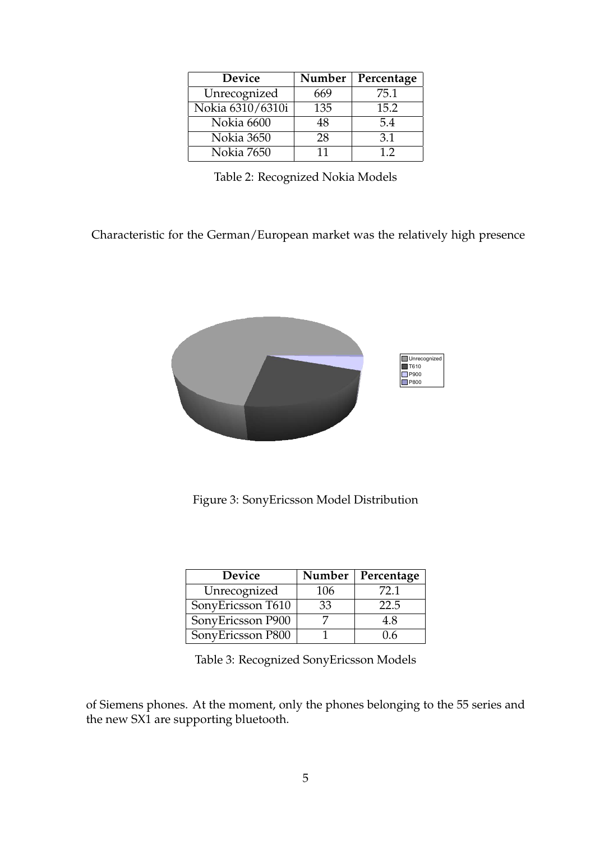| <b>Device</b>    | Number | Percentage |
|------------------|--------|------------|
| Unrecognized     | 669    | 75.1       |
| Nokia 6310/6310i | 135    | 15.2       |
| Nokia 6600       | 48     | 5.4        |
| Nokia 3650       | 28     | 3.1        |
| Nokia 7650       | 11     | 12         |

<span id="page-4-0"></span>Table 2: Recognized Nokia Models

Characteristic for the German/European market was the relatively high presence



<span id="page-4-2"></span>Figure 3: SonyEricsson Model Distribution

| Device            | Number | Percentage |
|-------------------|--------|------------|
| Unrecognized      | 106    | 72.1       |
| SonyEricsson T610 | 33     | 22.5       |
| SonyEricsson P900 |        | 4.8        |
| SonyEricsson P800 |        | $1.6 -$    |

<span id="page-4-1"></span>Table 3: Recognized SonyEricsson Models

of Siemens phones. At the moment, only the phones belonging to the 55 series and the new SX1 are supporting bluetooth.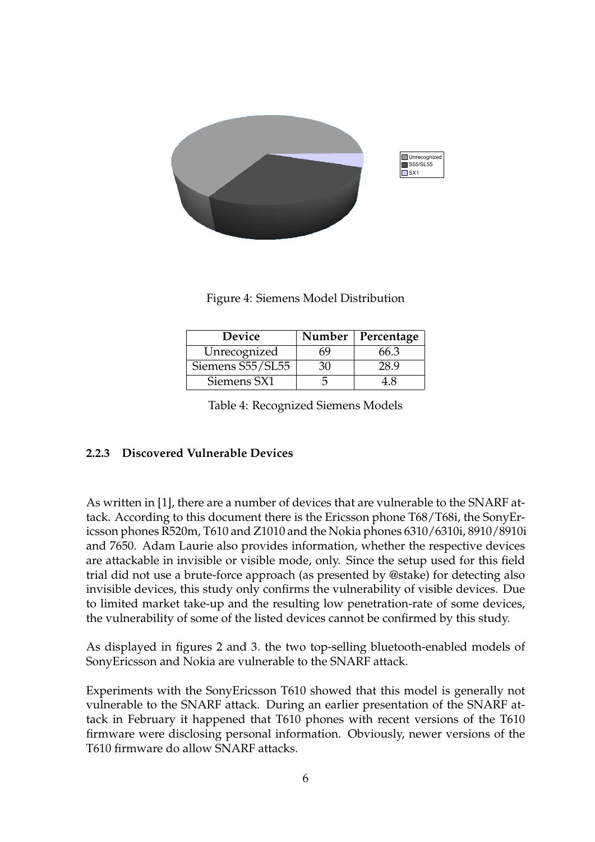

Figure 4: Siemens Model Distribution

| Device           | Number | Percentage |
|------------------|--------|------------|
| Unrecognized     | 'nЧ    | 66.3       |
| Siemens S55/SL55 |        | 28 9       |
| Siemens SX1      |        |            |

<span id="page-5-0"></span>Table 4: Recognized Siemens Models

#### **2.2.3 Discovered Vulnerable Devices**

As written in [\[1\]](#page-11-0), there are a number of devices that are vulnerable to the SNARF attack. According to this document there is the Ericsson phone T68/T68i, the SonyEricsson phones R520m, T610 and Z1010 and the Nokia phones 6310/6310i, 8910/8910i and 7650. Adam Laurie also provides information, whether the respective devices are attackable in invisible or visible mode, only. Since the setup used for this field trial did not use a brute-force approach (as presented by @stake) for detecting also invisible devices, this study only confirms the vulnerability of visible devices. Due to limited market take-up and the resulting low penetration-rate of some devices, the vulnerability of some of the listed devices cannot be confirmed by this study.

As displayed in figures [2](#page-3-1) and [3,](#page-4-2) the two top-selling bluetooth-enabled models of SonyEricsson and Nokia are vulnerable to the SNARF attack.

Experiments with the SonyEricsson T610 showed that this model is generally not vulnerable to the SNARF attack. During an earlier presentation of the SNARF attack in February it happened that T610 phones with recent versions of the T610 firmware were disclosing personal information. Obviously, newer versions of the T610 firmware do allow SNARF attacks.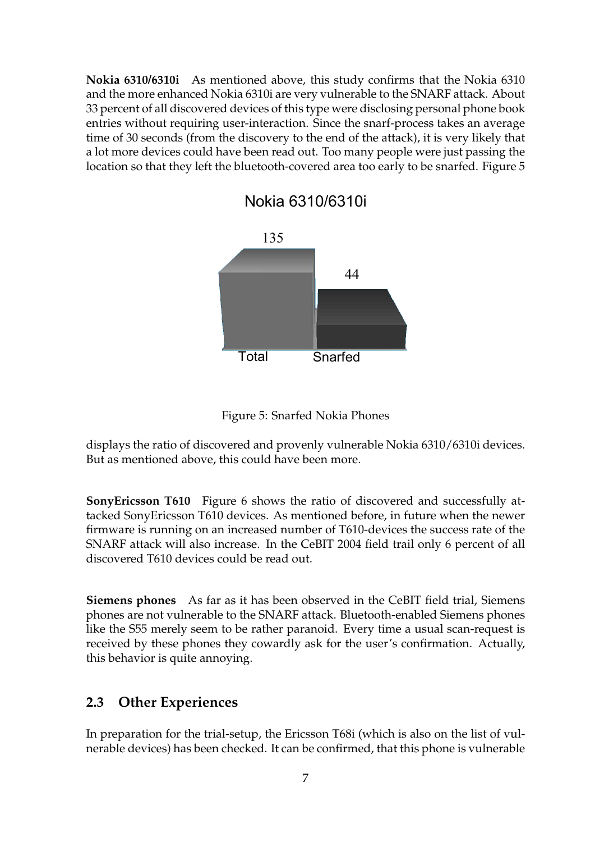**Nokia 6310/6310i** As mentioned above, this study confirms that the Nokia 6310 and the more enhanced Nokia 6310i are very vulnerable to the SNARF attack. About 33 percent of all discovered devices of this type were disclosing personal phone book entries without requiring user-interaction. Since the snarf-process takes an average time of 30 seconds (from the discovery to the end of the attack), it is very likely that a lot more devices could have been read out. Too many people were just passing the location so that they left the bluetooth-covered area too early to be snarfed. Figure [5](#page-6-0)

Nokia 6310/6310i



<span id="page-6-0"></span>

displays the ratio of discovered and provenly vulnerable Nokia 6310/6310i devices. But as mentioned above, this could have been more.

**SonyEricsson T610** Figure [6](#page-7-0) shows the ratio of discovered and successfully attacked SonyEricsson T610 devices. As mentioned before, in future when the newer firmware is running on an increased number of T610-devices the success rate of the SNARF attack will also increase. In the CeBIT 2004 field trail only 6 percent of all discovered T610 devices could be read out.

**Siemens phones** As far as it has been observed in the CeBIT field trial, Siemens phones are not vulnerable to the SNARF attack. Bluetooth-enabled Siemens phones like the S55 merely seem to be rather paranoid. Every time a usual scan-request is received by these phones they cowardly ask for the user's confirmation. Actually, this behavior is quite annoying.

### **2.3 Other Experiences**

In preparation for the trial-setup, the Ericsson T68i (which is also on the list of vulnerable devices) has been checked. It can be confirmed, that this phone is vulnerable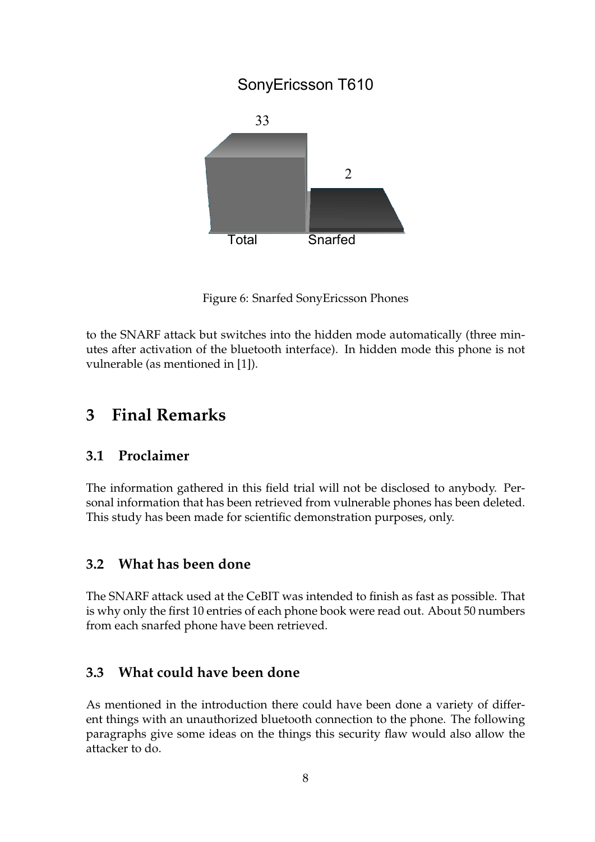# SonyEricsson T610



<span id="page-7-0"></span>Figure 6: Snarfed SonyEricsson Phones

to the SNARF attack but switches into the hidden mode automatically (three minutes after activation of the bluetooth interface). In hidden mode this phone is not vulnerable (as mentioned in [\[1\]](#page-11-0)).

# **3 Final Remarks**

### **3.1 Proclaimer**

The information gathered in this field trial will not be disclosed to anybody. Personal information that has been retrieved from vulnerable phones has been deleted. This study has been made for scientific demonstration purposes, only.

### **3.2 What has been done**

The SNARF attack used at the CeBIT was intended to finish as fast as possible. That is why only the first 10 entries of each phone book were read out. About 50 numbers from each snarfed phone have been retrieved.

# **3.3 What could have been done**

As mentioned in the introduction there could have been done a variety of different things with an unauthorized bluetooth connection to the phone. The following paragraphs give some ideas on the things this security flaw would also allow the attacker to do.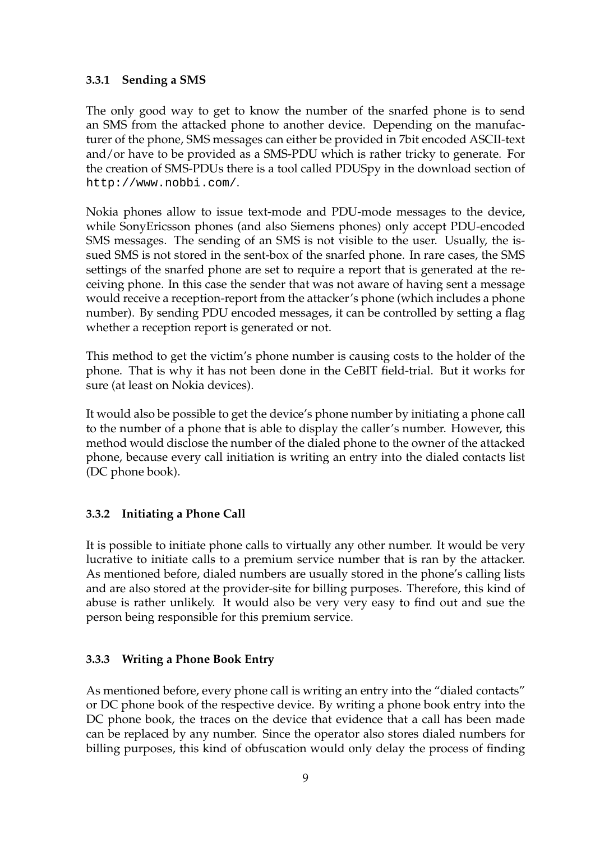### **3.3.1 Sending a SMS**

The only good way to get to know the number of the snarfed phone is to send an SMS from the attacked phone to another device. Depending on the manufacturer of the phone, SMS messages can either be provided in 7bit encoded ASCII-text and/or have to be provided as a SMS-PDU which is rather tricky to generate. For the creation of SMS-PDUs there is a tool called PDUSpy in the download section of http://www.nobbi.com/.

Nokia phones allow to issue text-mode and PDU-mode messages to the device, while SonyEricsson phones (and also Siemens phones) only accept PDU-encoded SMS messages. The sending of an SMS is not visible to the user. Usually, the issued SMS is not stored in the sent-box of the snarfed phone. In rare cases, the SMS settings of the snarfed phone are set to require a report that is generated at the receiving phone. In this case the sender that was not aware of having sent a message would receive a reception-report from the attacker's phone (which includes a phone number). By sending PDU encoded messages, it can be controlled by setting a flag whether a reception report is generated or not.

This method to get the victim's phone number is causing costs to the holder of the phone. That is why it has not been done in the CeBIT field-trial. But it works for sure (at least on Nokia devices).

It would also be possible to get the device's phone number by initiating a phone call to the number of a phone that is able to display the caller's number. However, this method would disclose the number of the dialed phone to the owner of the attacked phone, because every call initiation is writing an entry into the dialed contacts list (DC phone book).

### **3.3.2 Initiating a Phone Call**

It is possible to initiate phone calls to virtually any other number. It would be very lucrative to initiate calls to a premium service number that is ran by the attacker. As mentioned before, dialed numbers are usually stored in the phone's calling lists and are also stored at the provider-site for billing purposes. Therefore, this kind of abuse is rather unlikely. It would also be very very easy to find out and sue the person being responsible for this premium service.

#### **3.3.3 Writing a Phone Book Entry**

As mentioned before, every phone call is writing an entry into the "dialed contacts" or DC phone book of the respective device. By writing a phone book entry into the DC phone book, the traces on the device that evidence that a call has been made can be replaced by any number. Since the operator also stores dialed numbers for billing purposes, this kind of obfuscation would only delay the process of finding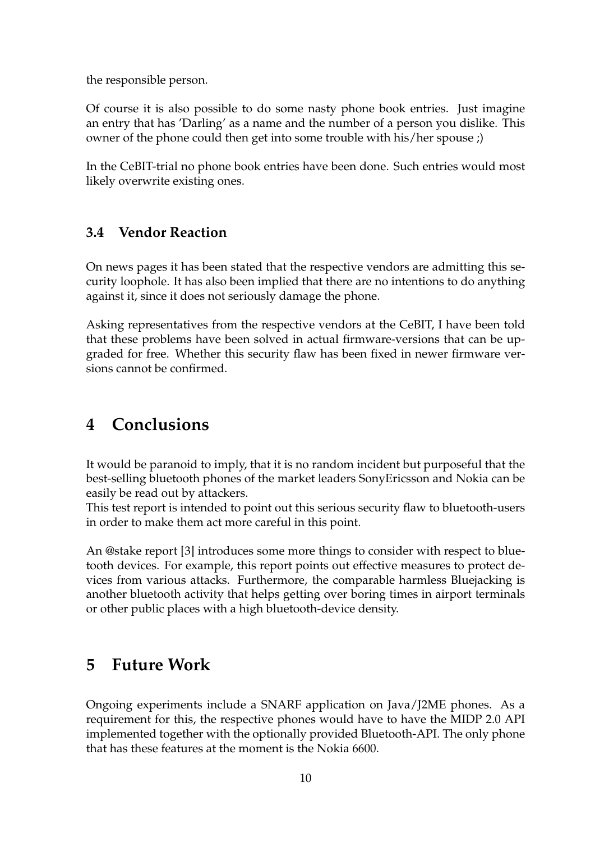the responsible person.

Of course it is also possible to do some nasty phone book entries. Just imagine an entry that has 'Darling' as a name and the number of a person you dislike. This owner of the phone could then get into some trouble with his/her spouse ;)

In the CeBIT-trial no phone book entries have been done. Such entries would most likely overwrite existing ones.

### **3.4 Vendor Reaction**

On news pages it has been stated that the respective vendors are admitting this security loophole. It has also been implied that there are no intentions to do anything against it, since it does not seriously damage the phone.

Asking representatives from the respective vendors at the CeBIT, I have been told that these problems have been solved in actual firmware-versions that can be upgraded for free. Whether this security flaw has been fixed in newer firmware versions cannot be confirmed.

# **4 Conclusions**

It would be paranoid to imply, that it is no random incident but purposeful that the best-selling bluetooth phones of the market leaders SonyEricsson and Nokia can be easily be read out by attackers.

This test report is intended to point out this serious security flaw to bluetooth-users in order to make them act more careful in this point.

An @stake report [\[3\]](#page-11-2) introduces some more things to consider with respect to bluetooth devices. For example, this report points out effective measures to protect devices from various attacks. Furthermore, the comparable harmless Bluejacking is another bluetooth activity that helps getting over boring times in airport terminals or other public places with a high bluetooth-device density.

# **5 Future Work**

Ongoing experiments include a SNARF application on Java/J2ME phones. As a requirement for this, the respective phones would have to have the MIDP 2.0 API implemented together with the optionally provided Bluetooth-API. The only phone that has these features at the moment is the Nokia 6600.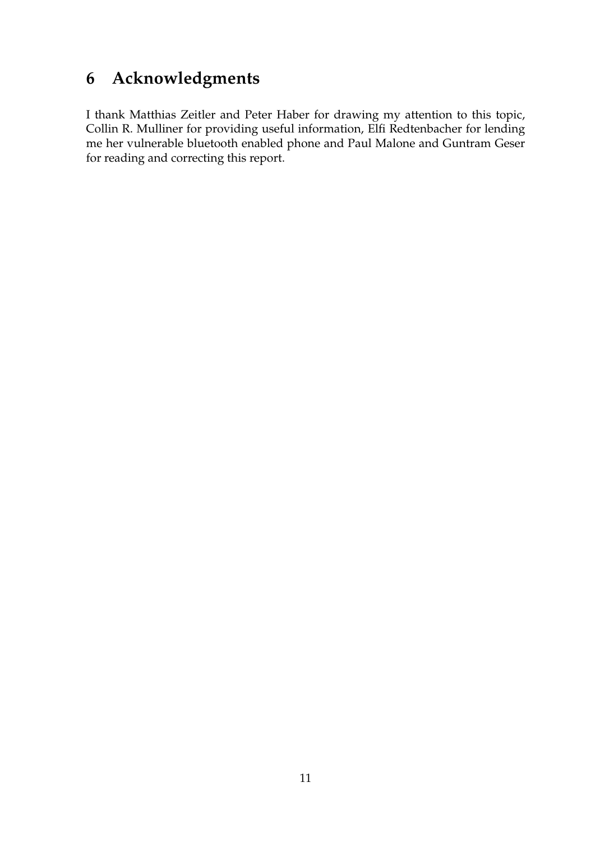# **6 Acknowledgments**

I thank Matthias Zeitler and Peter Haber for drawing my attention to this topic, Collin R. Mulliner for providing useful information, Elfi Redtenbacher for lending me her vulnerable bluetooth enabled phone and Paul Malone and Guntram Geser for reading and correcting this report.